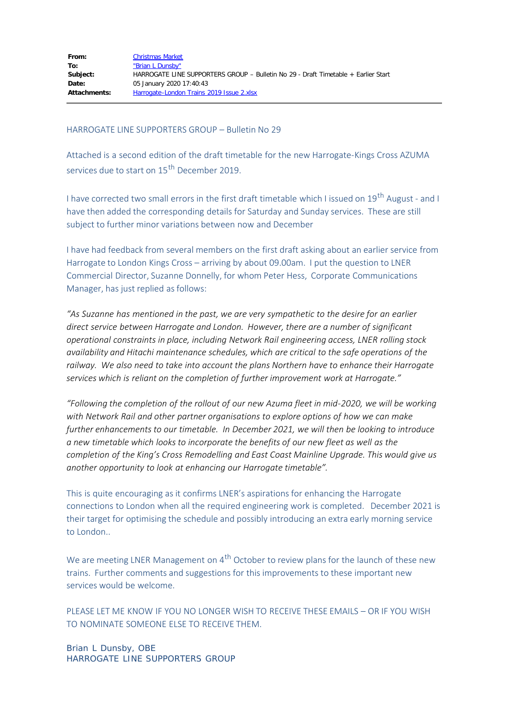## HARROGATE LINE SUPPORTERS GROUP – Bulletin No 29

Attached is a second edition of the draft timetable for the new Harrogate-Kings Cross AZUMA services due to start on 15<sup>th</sup> December 2019.

I have corrected two small errors in the first draft timetable which I issued on 19<sup>th</sup> August - and I have then added the corresponding details for Saturday and Sunday services. These are still subject to further minor variations between now and December

I have had feedback from several members on the first draft asking about an earlier service from Harrogate to London Kings Cross – arriving by about 09.00am. I put the question to LNER Commercial Director, Suzanne Donnelly, for whom Peter Hess, Corporate Communications Manager, has just replied as follows:

*"As Suzanne has mentioned in the past, we are very sympathetic to the desire for an earlier direct service between Harrogate and London. However, there are a number of significant operational constraints in place, including Network Rail engineering access, LNER rolling stock availability and Hitachi maintenance schedules, which are critical to the safe operations of the railway. We also need to take into account the plans Northern have to enhance their Harrogate services which is reliant on the completion of further improvement work at Harrogate."*

*"Following the completion of the rollout of our new Azuma fleet in mid-2020, we will be working with Network Rail and other partner organisations to explore options of how we can make further enhancements to our timetable. In December 2021, we will then be looking to introduce a new timetable which looks to incorporate the benefits of our new fleet as well as the completion of the King's Cross Remodelling and East Coast Mainline Upgrade. This would give us another opportunity to look at enhancing our Harrogate timetable".*

This is quite encouraging as it confirms LNER's aspirations for enhancing the Harrogate connections to London when all the required engineering work is completed. December 2021 is their target for optimising the schedule and possibly introducing an extra early morning service to London..

We are meeting LNER Management on 4<sup>th</sup> October to review plans for the launch of these new trains. Further comments and suggestions for this improvements to these important new services would be welcome.

PLEASE LET ME KNOW IF YOU NO LONGER WISH TO RECEIVE THESE EMAILS – OR IF YOU WISH TO NOMINATE SOMEONE ELSE TO RECEIVE THEM.

Brian L Dunsby, OBE HARROGATE LINE SUPPORTERS GROUP